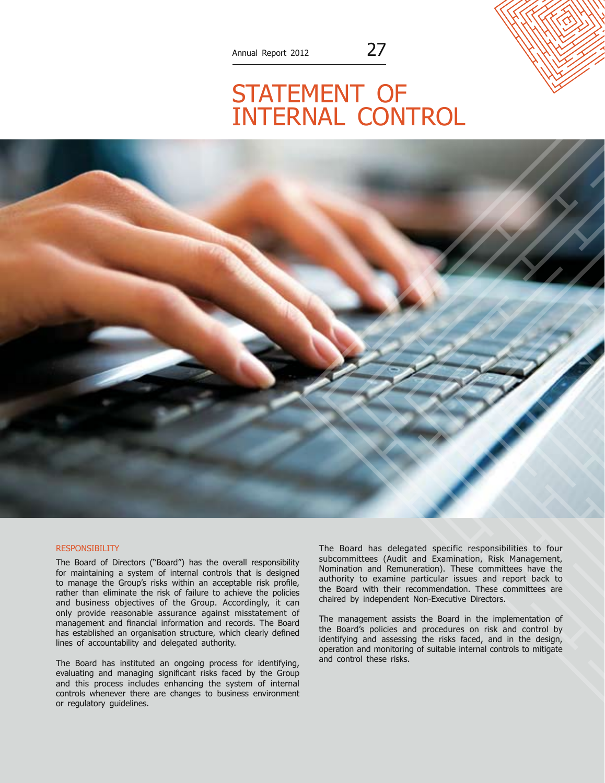## STATEMENT OF internal control



## **RESPONSIBILITY**

The Board of Directors ("Board") has the overall responsibility for maintaining a system of internal controls that is designed to manage the Group's risks within an acceptable risk profile, rather than eliminate the risk of failure to achieve the policies and business objectives of the Group. Accordingly, it can only provide reasonable assurance against misstatement of management and financial information and records. The Board has established an organisation structure, which clearly defined lines of accountability and delegated authority.

The Board has instituted an ongoing process for identifying, evaluating and managing significant risks faced by the Group and this process includes enhancing the system of internal controls whenever there are changes to business environment or regulatory guidelines.

The Board has delegated specific responsibilities to four subcommittees (Audit and Examination, Risk Management, Nomination and Remuneration). These committees have the authority to examine particular issues and report back to the Board with their recommendation. These committees are chaired by independent Non-Executive Directors.

The management assists the Board in the implementation of the Board's policies and procedures on risk and control by identifying and assessing the risks faced, and in the design, operation and monitoring of suitable internal controls to mitigate and control these risks.